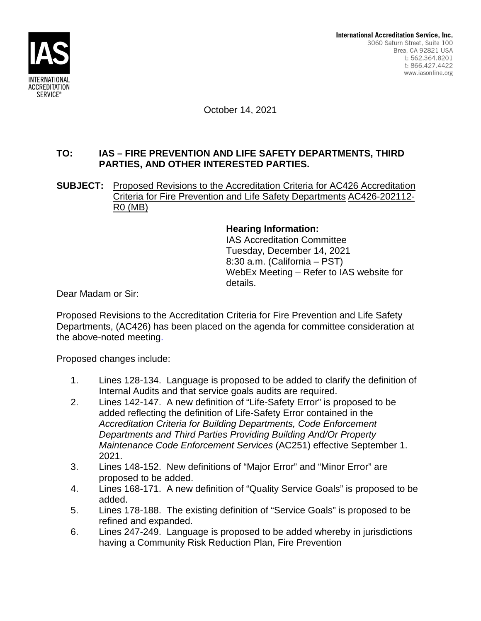

October 14, 2021

# **TO: IAS – FIRE PREVENTION AND LIFE SAFETY DEPARTMENTS, THIRD PARTIES, AND OTHER INTERESTED PARTIES.**

## **SUBJECT:** Proposed Revisions to the Accreditation Criteria for AC426 Accreditation Criteria for Fire Prevention and Life Safety Departments AC426-202112- R0 (MB)

# **Hearing Information:**

IAS Accreditation Committee Tuesday, December 14, 2021 8:30 a.m. (California – PST) WebEx Meeting – Refer to IAS website for details.

Dear Madam or Sir:

Proposed Revisions to the Accreditation Criteria for Fire Prevention and Life Safety Departments, (AC426) has been placed on the agenda for committee consideration at the above-noted meeting.

Proposed changes include:

- 1. Lines 128-134. Language is proposed to be added to clarify the definition of Internal Audits and that service goals audits are required.
- 2. Lines 142-147. A new definition of "Life-Safety Error" is proposed to be added reflecting the definition of Life-Safety Error contained in the *Accreditation Criteria for Building Departments, Code Enforcement Departments and Third Parties Providing Building And/Or Property Maintenance Code Enforcement Services* (AC251) effective September 1. 2021.
- 3. Lines 148-152. New definitions of "Major Error" and "Minor Error" are proposed to be added.
- 4. Lines 168-171. A new definition of "Quality Service Goals" is proposed to be added.
- 5. Lines 178-188. The existing definition of "Service Goals" is proposed to be refined and expanded.
- 6. Lines 247-249. Language is proposed to be added whereby in jurisdictions having a Community Risk Reduction Plan, Fire Prevention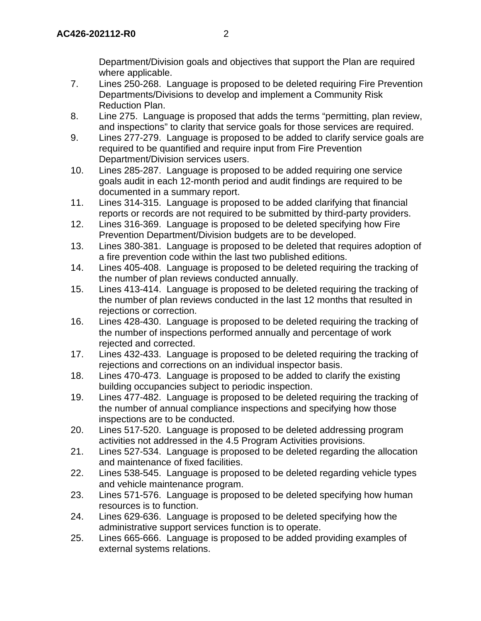Department/Division goals and objectives that support the Plan are required where applicable.

- 7. Lines 250-268. Language is proposed to be deleted requiring Fire Prevention Departments/Divisions to develop and implement a Community Risk Reduction Plan.
- 8. Line 275. Language is proposed that adds the terms "permitting, plan review, and inspections" to clarity that service goals for those services are required.
- 9. Lines 277-279. Language is proposed to be added to clarify service goals are required to be quantified and require input from Fire Prevention Department/Division services users.
- 10. Lines 285-287. Language is proposed to be added requiring one service goals audit in each 12-month period and audit findings are required to be documented in a summary report.
- 11. Lines 314-315. Language is proposed to be added clarifying that financial reports or records are not required to be submitted by third-party providers.
- 12. Lines 316-369. Language is proposed to be deleted specifying how Fire Prevention Department/Division budgets are to be developed.
- 13. Lines 380-381. Language is proposed to be deleted that requires adoption of a fire prevention code within the last two published editions.
- 14. Lines 405-408. Language is proposed to be deleted requiring the tracking of the number of plan reviews conducted annually.
- 15. Lines 413-414. Language is proposed to be deleted requiring the tracking of the number of plan reviews conducted in the last 12 months that resulted in rejections or correction.
- 16. Lines 428-430. Language is proposed to be deleted requiring the tracking of the number of inspections performed annually and percentage of work rejected and corrected.
- 17. Lines 432-433. Language is proposed to be deleted requiring the tracking of rejections and corrections on an individual inspector basis.
- 18. Lines 470-473. Language is proposed to be added to clarify the existing building occupancies subject to periodic inspection.
- 19. Lines 477-482. Language is proposed to be deleted requiring the tracking of the number of annual compliance inspections and specifying how those inspections are to be conducted.
- 20. Lines 517-520. Language is proposed to be deleted addressing program activities not addressed in the 4.5 Program Activities provisions.
- 21. Lines 527-534. Language is proposed to be deleted regarding the allocation and maintenance of fixed facilities.
- 22. Lines 538-545. Language is proposed to be deleted regarding vehicle types and vehicle maintenance program.
- 23. Lines 571-576. Language is proposed to be deleted specifying how human resources is to function.
- 24. Lines 629-636. Language is proposed to be deleted specifying how the administrative support services function is to operate.
- 25. Lines 665-666. Language is proposed to be added providing examples of external systems relations.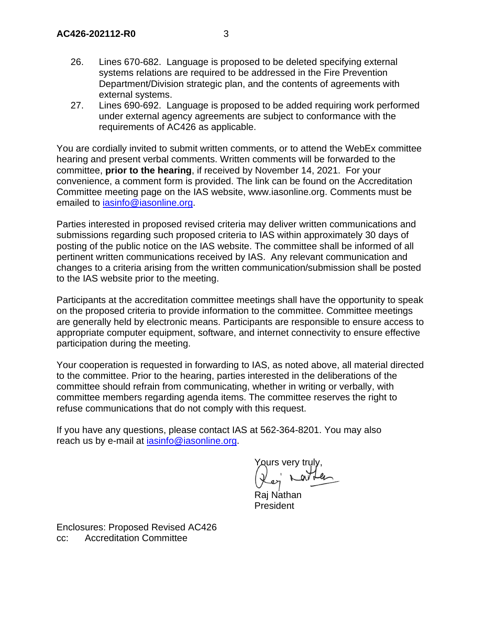- 26. Lines 670-682. Language is proposed to be deleted specifying external systems relations are required to be addressed in the Fire Prevention Department/Division strategic plan, and the contents of agreements with external systems.
- 27. Lines 690-692. Language is proposed to be added requiring work performed under external agency agreements are subject to conformance with the requirements of AC426 as applicable.

You are cordially invited to submit written comments, or to attend the WebEx committee hearing and present verbal comments. Written comments will be forwarded to the committee, **prior to the hearing**, if received by November 14, 2021. For your convenience, a comment form is provided. The link can be found on the Accreditation Committee meeting page on the IAS website, www.iasonline.org. Comments must be emailed to iasinfo@iasonline.org.

Parties interested in proposed revised criteria may deliver written communications and submissions regarding such proposed criteria to IAS within approximately 30 days of posting of the public notice on the IAS website. The committee shall be informed of all pertinent written communications received by IAS. Any relevant communication and changes to a criteria arising from the written communication/submission shall be posted to the IAS website prior to the meeting.

Participants at the accreditation committee meetings shall have the opportunity to speak on the proposed criteria to provide information to the committee. Committee meetings are generally held by electronic means. Participants are responsible to ensure access to appropriate computer equipment, software, and internet connectivity to ensure effective participation during the meeting.

Your cooperation is requested in forwarding to IAS, as noted above, all material directed to the committee. Prior to the hearing, parties interested in the deliberations of the committee should refrain from communicating, whether in writing or verbally, with committee members regarding agenda items. The committee reserves the right to refuse communications that do not comply with this request.

If you have any questions, please contact IAS at 562-364-8201. You may also reach us by e-mail at iasinfo@iasonline.org.

eurs verv trul

Raj Nathan President

Enclosures: Proposed Revised AC426 cc: Accreditation Committee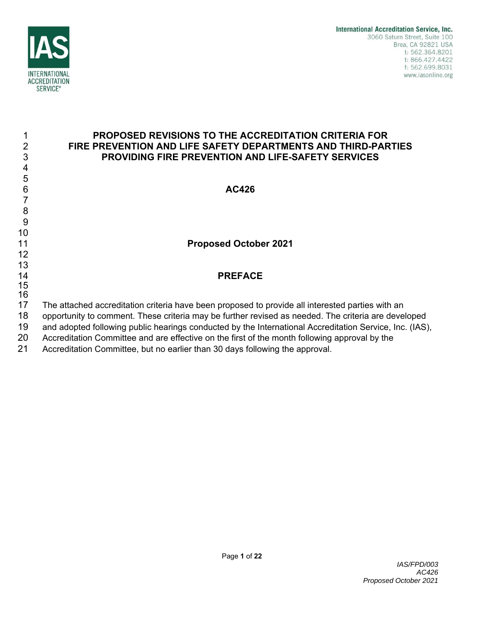

4 5

12 13

15 16

## 1 **PROPOSED REVISIONS TO THE ACCREDITATION CRITERIA FOR**  2 **FIRE PREVENTION AND LIFE SAFETY DEPARTMENTS AND THIRD-PARTIES**  3 **PROVIDING FIRE PREVENTION AND LIFE-SAFETY SERVICES**

6 **AC426** 

# 11 **Proposed October 2021**

# 14 **PREFACE**

- 17 The attached accreditation criteria have been proposed to provide all interested parties with an
- 18 opportunity to comment. These criteria may be further revised as needed. The criteria are developed
- 19 and adopted following public hearings conducted by the International Accreditation Service, Inc. (IAS),
- 20 Accreditation Committee and are effective on the first of the month following approval by the
- 21 Accreditation Committee, but no earlier than 30 days following the approval.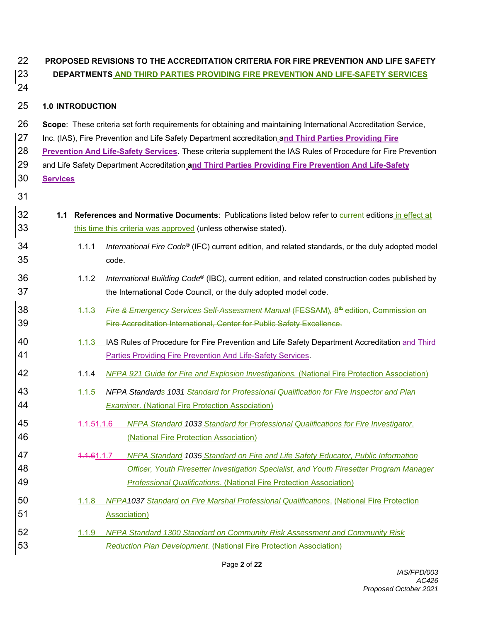# 22 **PROPOSED REVISIONS TO THE ACCREDITATION CRITERIA FOR FIRE PREVENTION AND LIFE SAFETY**  23 **DEPARTMENTS AND THIRD PARTIES PROVIDING FIRE PREVENTION AND LIFE-SAFETY SERVICES**

24

## 25 **1.0 INTRODUCTION**

- 26 **Scope**: These criteria set forth requirements for obtaining and maintaining International Accreditation Service,
- 27 Inc. (IAS), Fire Prevention and Life Safety Department accreditation a**nd Third Parties Providing Fire**
- 28 **Prevention And Life-Safety Services**. These criteria supplement the IAS Rules of Procedure for Fire Prevention 29 and Life Safety Department Accreditation **and Third Parties Providing Fire Prevention And Life-Safety**
- 30 **Services** 31
- 32 **1.1 References and Normative Documents**: Publications listed below refer to current editions in effect at 33 this time this criteria was approved (unless otherwise stated).
- 1.1.1 *International Fire Code*® 34 (IFC) current edition, and related standards, or the duly adopted model 35 code.
- 1.1.2 *International Building Code*® 36 (IBC), current edition, and related construction codes published by 37 the International Code Council, or the duly adopted model code.
- 1.1.3 *Fire & Emergency Services Self-Assessment Manual* (FESSAM)*,* 8th 38 edition, Commission on 39 Fire Accreditation International, Center for Public Safety Excellence.
- 40 1.1.3 IAS Rules of Procedure for Fire Prevention and Life Safety Department Accreditation and Third 41 Parties Providing Fire Prevention And Life-Safety Services.
- 42 1.1.4 *NFPA 921 Guide for Fire and Explosion Investigations.* (National Fire Protection Association)
- 43 1.1.5 *NFPA Standards 1031 Standard for Professional Qualification for Fire Inspector and Plan*  44 *Examiner*. (National Fire Protection Association)
- 45 1.1.51.1.6 *NFPA Standard 1033 Standard for Professional Qualifications for Fire Investigator*. 46 (National Fire Protection Association)
- 47 1.1.61.1.7 *NFPA Standard 1035 Standard on Fire and Life Safety Educator, Public Information*  48 *Officer, Youth Firesetter Investigation Specialist, and Youth Firesetter Program Manager*  49 *Professional Qualifications*. (National Fire Protection Association)
- 50 1.1.8 *NFPA1037 Standard on Fire Marshal Professional Qualifications*. (National Fire Protection 51 Association)
- 52 1.1.9 *NFPA Standard 1300 Standard on Community Risk Assessment and Community Risk*  53 *Reduction Plan Development*. (National Fire Protection Association)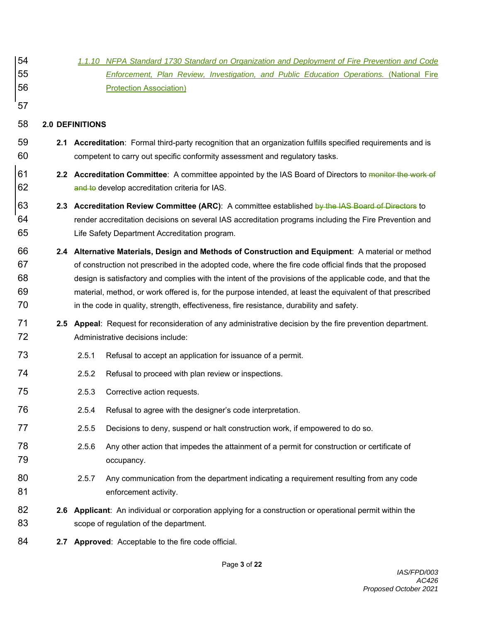- 54 *1.1.10 NFPA Standard 1730 Standard on Organization and Deployment of Fire Prevention and Code*  55 *Enforcement, Plan Review, Investigation, and Public Education Operations.* (National Fire 56 Protection Association)
- 58 **2.0 DEFINITIONS**

57

- 59 **2.1 Accreditation**: Formal third-party recognition that an organization fulfills specified requirements and is 60 competent to carry out specific conformity assessment and regulatory tasks.
- 61 **2.2 Accreditation Committee**: A committee appointed by the IAS Board of Directors to monitor the work of 62 and to develop accreditation criteria for IAS.
- 63 **2.3 Accreditation Review Committee (ARC)**: A committee established by the IAS Board of Directors to 64 render accreditation decisions on several IAS accreditation programs including the Fire Prevention and 65 Life Safety Department Accreditation program.
- 66 **2.4 Alternative Materials, Design and Methods of Construction and Equipment**: A material or method 67 of construction not prescribed in the adopted code, where the fire code official finds that the proposed 68 design is satisfactory and complies with the intent of the provisions of the applicable code, and that the 69 material, method, or work offered is, for the purpose intended, at least the equivalent of that prescribed 70 in the code in quality, strength, effectiveness, fire resistance, durability and safety.
- 71 **2.5 Appeal**: Request for reconsideration of any administrative decision by the fire prevention department. 72 Administrative decisions include:
- 73 2.5.1 Refusal to accept an application for issuance of a permit.
- 74 2.5.2 Refusal to proceed with plan review or inspections.
- 75 2.5.3 Corrective action requests.
- 76 2.5.4 Refusal to agree with the designer's code interpretation.
- 77 2.5.5 Decisions to deny, suspend or halt construction work, if empowered to do so.
- 78 2.5.6 Any other action that impedes the attainment of a permit for construction or certificate of 79 occupancy.
- 80 2.5.7 Any communication from the department indicating a requirement resulting from any code 81 enforcement activity.
- 82 **2.6 Applicant**: An individual or corporation applying for a construction or operational permit within the 83 scope of regulation of the department.
- 84 **2.7 Approved**: Acceptable to the fire code official.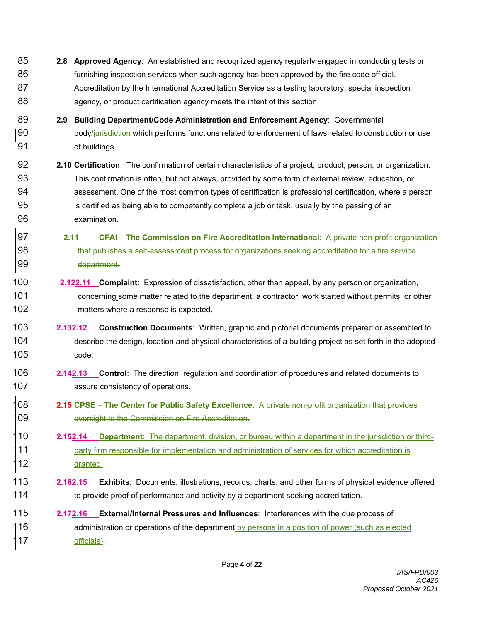- 85 **2.8 Approved Agency**: An established and recognized agency regularly engaged in conducting tests or 86 furnishing inspection services when such agency has been approved by the fire code official. 87 Accreditation by the International Accreditation Service as a testing laboratory, special inspection 88 agency, or product certification agency meets the intent of this section.
- 89 **2.9 Building Department/Code Administration and Enforcement Agency**: Governmental 90 body/jurisdiction which performs functions related to enforcement of laws related to construction or use 91 of buildings.
- 92 **2.10 Certification**: The confirmation of certain characteristics of a project, product, person, or organization. 93 This confirmation is often, but not always, provided by some form of external review, education, or 94 assessment. One of the most common types of certification is professional certification, where a person 95 is certified as being able to competently complete a job or task, usually by the passing of an 96 examination.
- 97 **2.11 CFAI The Commission on Fire Accreditation International**: A private non-profit organization 98 that publishes a self-assessment process for organizations seeking accreditation for a fire service 99 department.
- 100 **2.122.11 Complaint**: Expression of dissatisfaction, other than appeal, by any person or organization, 101 concerning some matter related to the department, a contractor, work started without permits, or other 102 matters where a response is expected.
- 103 **2.132.12 Construction Documents**: Written, graphic and pictorial documents prepared or assembled to 104 describe the design, location and physical characteristics of a building project as set forth in the adopted 105 code.
- 106 **2.142.13 Control**: The direction, regulation and coordination of procedures and related documents to 107 assure consistency of operations.
- 108 **2.15 CPSE The Center for Public Safety Excellence**: A private non-profit organization that provides 09 oversight to the Commission on Fire Accreditation.
- 110 **2.152.14 Department**: The department, division, or bureau within a department in the jurisdiction or third-11 party firm responsible for implementation and administration of services for which accreditation is 112 **granted**.
- 113 **2.162.15 Exhibits**: Documents, illustrations, records, charts, and other forms of physical evidence offered 114 to provide proof of performance and activity by a department seeking accreditation.
- 115 **2.172.16 External/Internal Pressures and Influences**: Interferences with the due process of 116 **and administration or operations of the department by persons in a position of power (such as elected** 117 officials).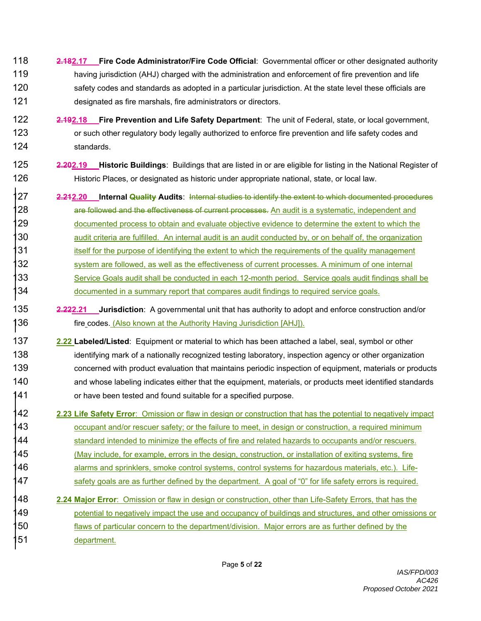- 118 **2.182.17 Fire Code Administrator/Fire Code Official**: Governmental officer or other designated authority 119 having jurisdiction (AHJ) charged with the administration and enforcement of fire prevention and life 120 safety codes and standards as adopted in a particular jurisdiction. At the state level these officials are 121 designated as fire marshals, fire administrators or directors.
- 122 **2.192.18 Fire Prevention and Life Safety Department**: The unit of Federal, state, or local government, 123 or such other regulatory body legally authorized to enforce fire prevention and life safety codes and 124 standards.
- 125 **2.202.19 Historic Buildings**: Buildings that are listed in or are eligible for listing in the National Register of 126 Historic Places, or designated as historic under appropriate national, state, or local law.
- 127 **2.212.20 Internal Quality Audits**: Internal studies to identify the extent to which documented procedures 28 are followed and the effectiveness of current processes. An audit is a systematic, independent and 129 documented process to obtain and evaluate objective evidence to determine the extent to which the 130 audit criteria are fulfilled. An internal audit is an audit conducted by, or on behalf of, the organization 131 itself for the purpose of identifying the extent to which the requirements of the quality management 132 system are followed, as well as the effectiveness of current processes. A minimum of one internal 133 Service Goals audit shall be conducted in each 12-month period. Service goals audit findings shall be 134 documented in a summary report that compares audit findings to required service goals.
- 135 **2.222.21 Jurisdiction**: A governmental unit that has authority to adopt and enforce construction and/or 136 fire codes. (Also known at the Authority Having Jurisdiction [AHJ]).
- 137 **2.22 Labeled/Listed**: Equipment or material to which has been attached a label, seal, symbol or other 138 identifying mark of a nationally recognized testing laboratory, inspection agency or other organization 139 concerned with product evaluation that maintains periodic inspection of equipment, materials or products 140 and whose labeling indicates either that the equipment, materials, or products meet identified standards 141 or have been tested and found suitable for a specified purpose.
- 142 **2.23 Life Safety Error**: Omission or flaw in design or construction that has the potential to negatively impact 143 occupant and/or rescuer safety; or the failure to meet, in design or construction, a required minimum 144 standard intended to minimize the effects of fire and related hazards to occupants and/or rescuers. 145 (May include, for example, errors in the design, construction, or installation of exiting systems, fire 146 alarms and sprinklers, smoke control systems, control systems for hazardous materials, etc.). Life- $147$  safety goals are as further defined by the department. A goal of "0" for life safety errors is required.
- 148 **2.24 Major Error**: Omission or flaw in design or construction, other than Life-Safety Errors, that has the 149 potential to negatively impact the use and occupancy of buildings and structures, and other omissions or 150 flaws of particular concern to the department/division. Major errors are as further defined by the 151 department.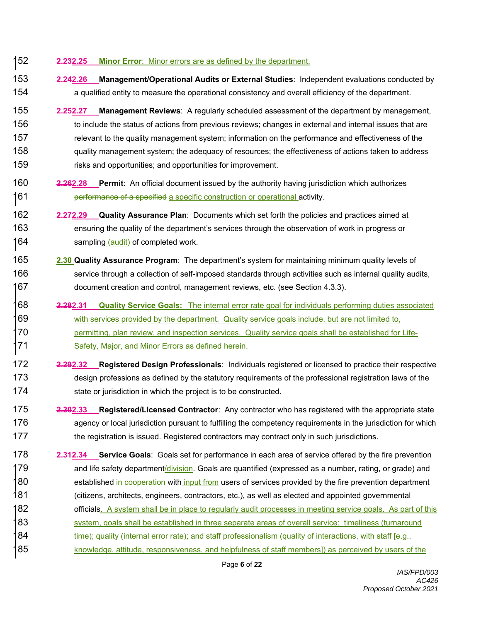#### 152 **2.232.25 Minor Error**: Minor errors are as defined by the department.

- 153 **2.242.26 Management/Operational Audits or External Studies**: Independent evaluations conducted by 154 a qualified entity to measure the operational consistency and overall efficiency of the department.
- 155 **2.252.27 Management Reviews**: A regularly scheduled assessment of the department by management, 156 to include the status of actions from previous reviews; changes in external and internal issues that are 157 relevant to the quality management system; information on the performance and effectiveness of the 158 quality management system; the adequacy of resources; the effectiveness of actions taken to address 159 risks and opportunities; and opportunities for improvement.
- 160 **2.262.28 Permit**: An official document issued by the authority having jurisdiction which authorizes 161 **performance of a specified a specific construction or operational activity.**
- 162 **2.272.29 Quality Assurance Plan**: Documents which set forth the policies and practices aimed at 163 ensuring the quality of the department's services through the observation of work in progress or 164 sampling (audit) of completed work.
- 165 **2.30 Quality Assurance Program**: The department's system for maintaining minimum quality levels of 166 service through a collection of self-imposed standards through activities such as internal quality audits, 167 document creation and control, management reviews, etc. (see Section 4.3.3).
- 168 **2.282.31 Quality Service Goals:** The internal error rate goal for individuals performing duties associated 169 with services provided by the department. Quality service goals include, but are not limited to, 170 permitting, plan review, and inspection services. Quality service goals shall be established for Life-171 Safety, Major, and Minor Errors as defined herein.
- 172 **2.292.32 Registered Design Professionals**: Individuals registered or licensed to practice their respective 173 design professions as defined by the statutory requirements of the professional registration laws of the 174 state or jurisdiction in which the project is to be constructed.
- 175 **2.302.33 Registered/Licensed Contractor**: Any contractor who has registered with the appropriate state 176 agency or local jurisdiction pursuant to fulfilling the competency requirements in the jurisdiction for which 177 the registration is issued. Registered contractors may contract only in such jurisdictions.
- 178 **2.312.34 Service Goals**: Goals set for performance in each area of service offered by the fire prevention 179 and life safety department/division. Goals are quantified (expressed as a number, rating, or grade) and 180 established <del>in cooperation</del> with input from users of services provided by the fire prevention department 181 (citizens, architects, engineers, contractors, etc.), as well as elected and appointed governmental 182 officials. A system shall be in place to regularly audit processes in meeting service goals. As part of this 183 system, goals shall be established in three separate areas of overall service: timeliness (turnaround 184 time); quality (internal error rate); and staff professionalism (quality of interactions, with staff [e.g., 185 knowledge, attitude, responsiveness, and helpfulness of staff members]) as perceived by users of the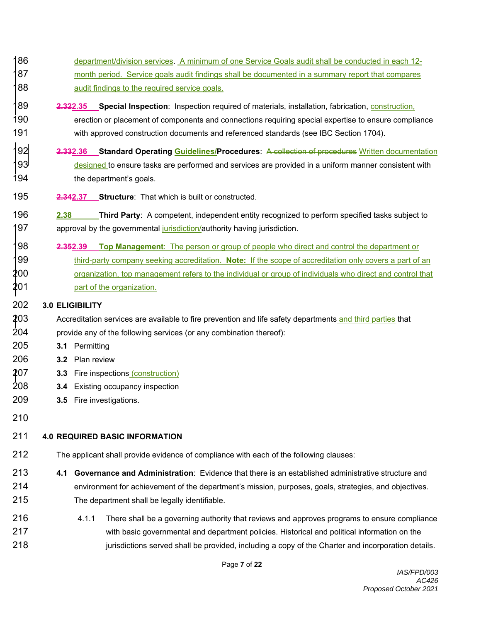- 186 department/division services. A minimum of one Service Goals audit shall be conducted in each 12-87 month period. Service goals audit findings shall be documented in a summary report that compares 188 audit findings to the required service goals.
- 189 **2.322.35 Special Inspection**: Inspection required of materials, installation, fabrication, construction, 190 erection or placement of components and connections requiring special expertise to ensure compliance 191 with approved construction documents and referenced standards (see IBC Section 1704).
- 192 **2.332.36 Standard Operating Guidelines/Procedures**: A collection of procedures Written documentation 93 designed to ensure tasks are performed and services are provided in a uniform manner consistent with 194 the department's goals.
- 195 **2.342.37 Structure**: That which is built or constructed.
- 196 **2.38 Third Party**: A competent, independent entity recognized to perform specified tasks subject to 197 approval by the governmental jurisdiction/authority having jurisdiction.
- 198 **2.352.39 Top Management**: The person or group of people who direct and control the department or 199 third-party company seeking accreditation. **Note:** If the scope of accreditation only covers a part of an 200 organization, top management refers to the individual or group of individuals who direct and control that  $201$  part of the organization.

### 202 **3.0 ELIGIBILITY**

- 203 Accreditation services are available to fire prevention and life safety departments and third parties that 204 provide any of the following services (or any combination thereof):
- 205 **3.1** Permitting
- 206 **3.2** Plan review
- 207 **3.3** Fire inspections (construction)
- 208 **3.4** Existing occupancy inspection
- 209 **3.5** Fire investigations.
- 210

## 211 **4.0 REQUIRED BASIC INFORMATION**

- 212 The applicant shall provide evidence of compliance with each of the following clauses:
- 213 **4.1 Governance and Administration**: Evidence that there is an established administrative structure and 214 environment for achievement of the department's mission, purposes, goals, strategies, and objectives. 215 The department shall be legally identifiable.
- 216 4.1.1 There shall be a governing authority that reviews and approves programs to ensure compliance 217 with basic governmental and department policies. Historical and political information on the 218 **iurisdictions served shall be provided, including a copy of the Charter and incorporation details.**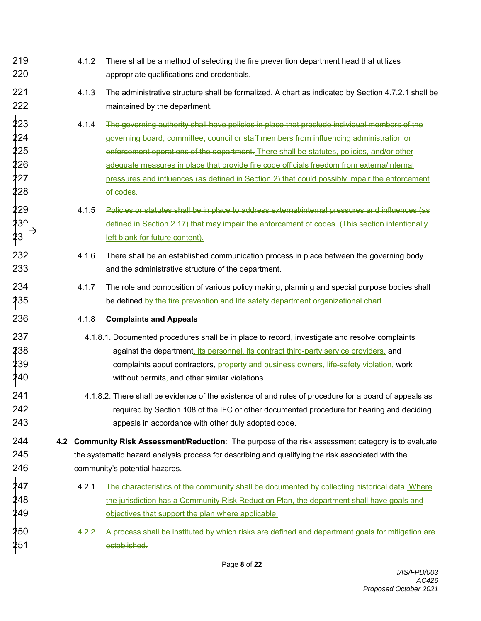219 4.1.2 There shall be a method of selecting the fire prevention department head that utilizes 220 appropriate qualifications and credentials. 221 4.1.3 The administrative structure shall be formalized. A chart as indicated by Section 4.7.2.1 shall be 222 maintained by the department. 223 4.1.4 The governing authority shall have policies in place that preclude individual members of the 224 governing board, committee, council or staff members from influencing administration or  $\frac{1}{2}$ 25  $\hspace{1cm}$  enforcement operations of the department. There shall be statutes, policies, and/or other  $226$  adequate measures in place that provide fire code officials freedom from externa/internal  $227$  pressures and influences (as defined in Section 2) that could possibly impair the enforcement  $228$  of codes. 229 4.1.5 Policies or statutes shall be in place to address external/internal pressures and influences (as defined in Section 2.17) that may impair the enforcement of codes. (This section intentionally left blank for future content). 232 4.1.6 There shall be an established communication process in place between the governing body 233 and the administrative structure of the department. 234 4.1.7 The role and composition of various policy making, planning and special purpose bodies shall 235 **be defined <del>by the fire prevention and life safety department organizational chart</del>.** 236 4.1.8 **Complaints and Appeals** 237 4.1.8.1. Documented procedures shall be in place to record, investigate and resolve complaints 238 against the department, its personnel, its contract third-party service providers, and  $239$  complaints about contractors, property and business owners, life-safety violation, work  $\text{\#}40$  without permits, and other similar violations. 241  $\,$   $\,$   $\,$   $\,$   $\,$   $\,$  4.1.8.2. There shall be evidence of the existence of and rules of procedure for a board of appeals as 242 required by Section 108 of the IFC or other documented procedure for hearing and deciding 243 appeals in accordance with other duly adopted code. 244 **4.2 Community Risk Assessment/Reduction**: The purpose of the risk assessment category is to evaluate 245 the systematic hazard analysis process for describing and qualifying the risk associated with the 246 community's potential hazards.  $\overline{2}47$   $\overline{4.2.1}$  The characteristics of the community shall be documented by collecting historical data. Where  $\pmb{2}$ 48 the jurisdiction has a Community Risk Reduction Plan, the department shall have goals and  $249$   $\bullet$  objectives that support the plan where applicable.  $\pmb{250}$  and a state  $\pmb{4.2.2}$  . A process shall be instituted by which risks are defined and department goals for mitigation are  $251$  established.  $\frac{1}{2}$ <br>  $\frac{23}{1}$ <br>  $\frac{3}{1}$ <br>  $\frac{3}{1}$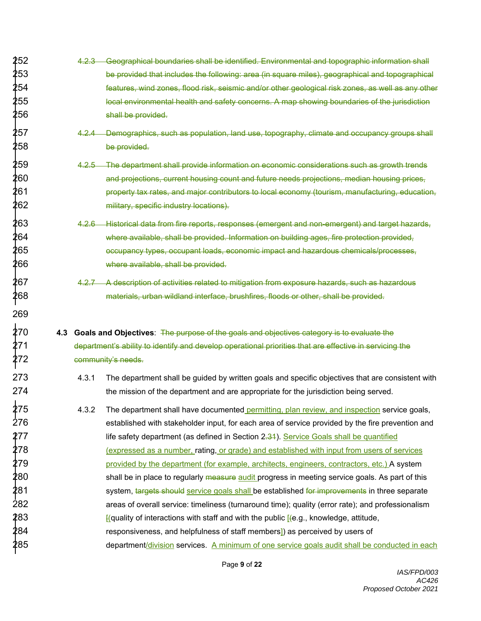- 252 4.2.3 Geographical boundaries shall be identified. Environmental and topographic information shall  $253$  be provided that includes the following: area (in square miles), geographical and topographical  $\pm$ 254 features, wind zones, flood risk, seismic and/or other geological risk zones, as well as any other  $255$  local environmental health and safety concerns. A map showing boundaries of the jurisdiction  $\frac{1}{2}$  $256$  shall be provided.
- $\overline{2}57$   $\overline{4.2.4}$  Demographics, such as population, land use, topography, climate and occupancy groups shall  $258$  be provided.
- $\pmb{259}$  and a 4.2.5 The department shall provide information on economic considerations such as growth trends  $260\,$  and projections, current housing count and future needs projections, median housing prices,  $261\,$  property tax rates, and major contributors to local economy (tourism, manufacturing, education,  $262$  and  $\frac{1}{262}$  military, specific industry locations).
- $\overline{2}63$   $\overline{4.2.6}$  Historical data from fire reports, responses (emergent and non-emergent) and target hazards,  $264 \,$  where available, shall be provided. Information on building ages, fire protection provided, 265 occupancy types, occupant loads, economic impact and hazardous chemicals/processes, 266 where available, shall be provided.
- $\overline{2}67$   $\overline{4.2.7}$  A description of activities related to mitigation from exposure hazards, such as hazardous  $\boldsymbol{\hat{z}}$ 68  $\boldsymbol{z}$  materials, urban wildland interface, brushfires, floods or other, shall be provided.
- 270 **4.3 Goals and Objectives**: The purpose of the goals and objectives category is to evaluate the 271 department's ability to identify and develop operational priorities that are effective in servicing the community's needs.

269

- 273 4.3.1 The department shall be quided by written goals and specific objectives that are consistent with 274 the mission of the department and are appropriate for the jurisdiction being served.
- $\overline{2}75$   $\qquad \qquad \, \, 4.3.2$  The department shall have documented permitting, plan review, and inspection service goals, 276 established with stakeholder input, for each area of service provided by the fire prevention and 277 **Lifte safety department (as defined in Section** 2<del>.31</del>). Service Goals shall be quantified  $278$  expressed as a number, rating, or grade) and established with input from users of services  $279$  provided by the department (for example, architects, engineers, contractors, etc.) A system  $\overline{2}80$  shall be in place to regularly <del>measure</del> audit progress in meeting service goals. As part of this 281 system, <del>targets should <u>service goals shall</u> be established <del>for improvements</del> in three separate<br>282 separate areas of overall service: timeliness (turnaround time); quality (error rate); and professionalism</del> areas of overall service: timeliness (turnaround time); quality (error rate); and professionalism  $283$  external ty of interactions with staff and with the public  $\sqrt{2}$  (e.g., knowledge, attitude, ↓<br>284 responsiveness, and helpfulness of staff members]) as perceived by users of⊈  $\overline{{\bf 2}}$ 85  $\hspace{1cm}$  department/division services. A minimum of one service goals audit shall be conducted in each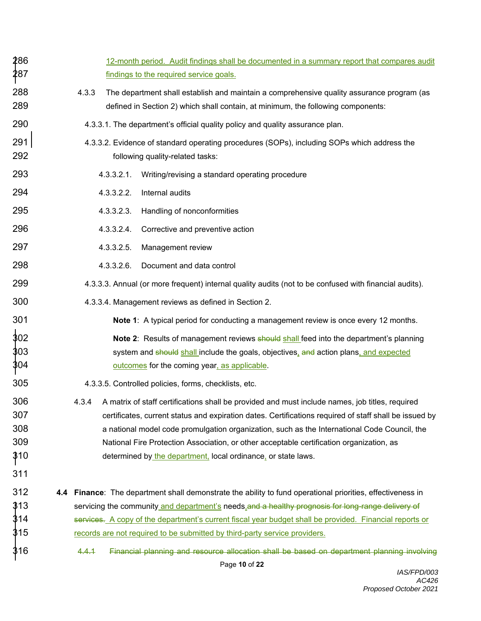| 286<br>287                             | 12-month period. Audit findings shall be documented in a summary report that compares audit<br>findings to the required service goals.                                                                                                                                                                                                                                                                                                                                          |
|----------------------------------------|---------------------------------------------------------------------------------------------------------------------------------------------------------------------------------------------------------------------------------------------------------------------------------------------------------------------------------------------------------------------------------------------------------------------------------------------------------------------------------|
| 288<br>289                             | 4.3.3<br>The department shall establish and maintain a comprehensive quality assurance program (as<br>defined in Section 2) which shall contain, at minimum, the following components:                                                                                                                                                                                                                                                                                          |
| 290                                    | 4.3.3.1. The department's official quality policy and quality assurance plan.                                                                                                                                                                                                                                                                                                                                                                                                   |
| 291<br>292                             | 4.3.3.2. Evidence of standard operating procedures (SOPs), including SOPs which address the<br>following quality-related tasks:                                                                                                                                                                                                                                                                                                                                                 |
| 293                                    | 4.3.3.2.1.<br>Writing/revising a standard operating procedure                                                                                                                                                                                                                                                                                                                                                                                                                   |
| 294                                    | 4.3.3.2.2.<br>Internal audits                                                                                                                                                                                                                                                                                                                                                                                                                                                   |
| 295                                    | 4.3.3.2.3.<br>Handling of nonconformities                                                                                                                                                                                                                                                                                                                                                                                                                                       |
| 296                                    | 4.3.3.2.4.<br>Corrective and preventive action                                                                                                                                                                                                                                                                                                                                                                                                                                  |
| 297                                    | 4.3.3.2.5.<br>Management review                                                                                                                                                                                                                                                                                                                                                                                                                                                 |
| 298                                    | $4.3.3.2.6$ .<br>Document and data control                                                                                                                                                                                                                                                                                                                                                                                                                                      |
| 299                                    | 4.3.3.3. Annual (or more frequent) internal quality audits (not to be confused with financial audits).                                                                                                                                                                                                                                                                                                                                                                          |
| 300                                    | 4.3.3.4. Management reviews as defined in Section 2.                                                                                                                                                                                                                                                                                                                                                                                                                            |
| 301                                    | Note 1: A typical period for conducting a management review is once every 12 months.                                                                                                                                                                                                                                                                                                                                                                                            |
| 302<br>303<br>304                      | <b>Note 2:</b> Results of management reviews should shall feed into the department's planning<br>system and should shall include the goals, objectives, and action plans, and expected<br>outcomes for the coming year, as applicable.                                                                                                                                                                                                                                          |
| 305                                    | 4.3.3.5. Controlled policies, forms, checklists, etc.                                                                                                                                                                                                                                                                                                                                                                                                                           |
| 306<br>307<br>308<br>309<br>310<br>311 | A matrix of staff certifications shall be provided and must include names, job titles, required<br>4.3.4<br>certificates, current status and expiration dates. Certifications required of staff shall be issued by<br>a national model code promulgation organization, such as the International Code Council, the<br>National Fire Protection Association, or other acceptable certification organization, as<br>determined by the department, local ordinance, or state laws. |
| 312                                    | 4.4 Finance: The department shall demonstrate the ability to fund operational priorities, effectiveness in                                                                                                                                                                                                                                                                                                                                                                      |
| 313                                    | servicing the community and department's needs and a healthy prognosis for long-range delivery of                                                                                                                                                                                                                                                                                                                                                                               |
| 314                                    | services. A copy of the department's current fiscal year budget shall be provided. Financial reports or                                                                                                                                                                                                                                                                                                                                                                         |
| 315                                    | records are not required to be submitted by third-party service providers.                                                                                                                                                                                                                                                                                                                                                                                                      |
| 316                                    | Financial planning and resource allocation shall be based on department planning involving<br>4.4.1<br>Page 10 of 22                                                                                                                                                                                                                                                                                                                                                            |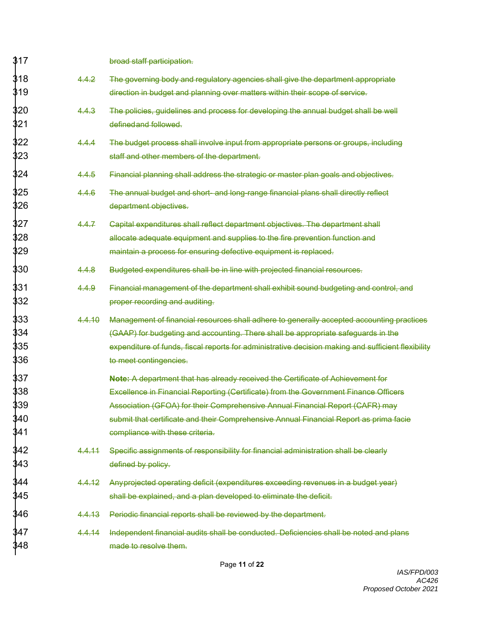| 317 |        | broad staff participation.                                                                         |
|-----|--------|----------------------------------------------------------------------------------------------------|
| 318 | 4.4.2  | The governing body and regulatory agencies shall give the department appropriate                   |
| 319 |        | direction in budget and planning over matters within their scope of service.                       |
| 320 | 4.4.3  | The policies, guidelines and process for developing the annual budget shall be well                |
| 321 |        | defined and followed.                                                                              |
| 322 | 4.4.4  | The budget process shall involve input from appropriate persons or groups, including               |
| 323 |        | staff and other members of the department.                                                         |
| 324 | 4.4.5  | Financial planning shall address the strategic or master plan goals and objectives.                |
| 325 | 4.4.6  | The annual budget and short- and long-range financial plans shall directly reflect                 |
| 326 |        | department objectives.                                                                             |
| 327 | 4.4.7  | Capital expenditures shall reflect department objectives. The department shall                     |
| 328 |        | allocate adequate equipment and supplies to the fire prevention function and                       |
| 329 |        | maintain a process for ensuring defective equipment is replaced.                                   |
| 330 | 4.4.8  | Budgeted expenditures shall be in line with projected financial resources.                         |
| 331 | 4.4.9  | Financial management of the department shall exhibit sound budgeting and control, and              |
| 332 |        | proper recording and auditing.                                                                     |
| 333 | 4.4.10 | Management of financial resources shall adhere to generally accepted accounting practices          |
| 334 |        | (GAAP) for budgeting and accounting. There shall be appropriate safeguards in the                  |
| 335 |        | expenditure of funds, fiscal reports for administrative decision making and sufficient flexibility |
| 336 |        | to meet contingencies.                                                                             |
| 337 |        | Note: A department that has already received the Certificate of Achievement for                    |
| 338 |        | Excellence in Financial Reporting (Certificate) from the Government Finance Officers               |
| 339 |        | Association (GFOA) for their Comprehensive Annual Financial Report (CAFR) may                      |
| 340 |        | submit that certificate and their Comprehensive Annual Financial Report as prima facie             |
| 341 |        | compliance with these criteria.                                                                    |
| 342 | 4.4.11 | Specific assignments of responsibility for financial administration shall be clearly               |
| 343 |        | defined by policy.                                                                                 |
| 344 | 4.4.12 | Anyprojected operating deficit (expenditures exceeding revenues in a budget year)                  |
| 345 |        | shall be explained, and a plan developed to eliminate the deficit.                                 |
| 346 | 4.4.13 | Periodic financial reports shall be reviewed by the department.                                    |
| 347 | 4.4.14 | Independent financial audits shall be conducted. Deficiencies shall be noted and plans             |
| 348 |        | made to resolve them.                                                                              |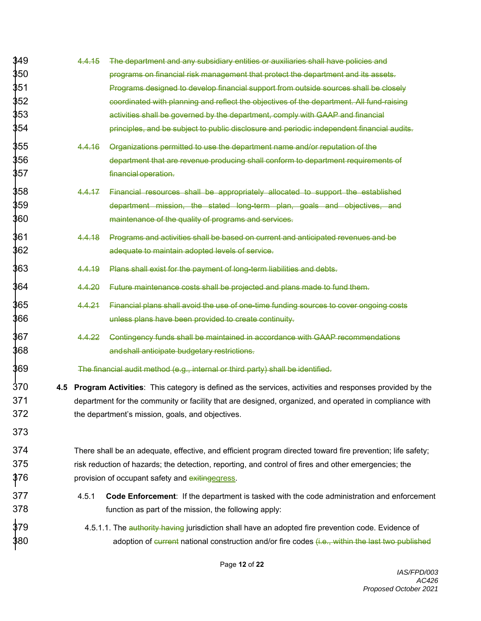| 349 | 4.4.15 | The department and any subsidiary entities or auxiliaries shall have policies and                          |
|-----|--------|------------------------------------------------------------------------------------------------------------|
| 350 |        | programs on financial risk management that protect the department and its assets.                          |
| 351 |        | Programs designed to develop financial support from outside sources shall be closely                       |
| 352 |        | coordinated with planning and reflect the objectives of the department. All fund-raising                   |
| 353 |        | activities shall be governed by the department, comply with GAAP and financial                             |
| 354 |        | principles, and be subject to public disclosure and periodic independent financial audits.                 |
| 355 | 4.4.16 | Organizations permitted to use the department name and/or reputation of the                                |
| 356 |        | department that are revenue producing shall conform to department requirements of                          |
| 357 |        | financial operation.                                                                                       |
| 358 | 4.4.17 | Financial resources shall be appropriately allocated to support the established                            |
| 359 |        | department mission, the stated long-term plan, goals and objectives, and                                   |
| 360 |        | maintenance of the quality of programs and services.                                                       |
| 361 | 4.4.18 | Programs and activities shall be based on current and anticipated revenues and be                          |
| 362 |        | adequate to maintain adopted levels of service.                                                            |
| 363 | 4.4.19 | Plans shall exist for the payment of long-term liabilities and debts.                                      |
| 364 | 4.4.20 | Future maintenance costs shall be projected and plans made to fund them.                                   |
| 365 | 4.4.21 | Financial plans shall avoid the use of one-time funding sources to cover ongoing costs                     |
| 366 |        | unless plans have been provided to create continuity.                                                      |
| 367 | 4.4.22 | Contingency funds shall be maintained in accordance with GAAP recommendations                              |
| 368 |        | and shall anticipate budgetary restrictions.                                                               |
| 369 |        | The financial audit method (e.g., internal or third party) shall be identified.                            |
| 370 |        | 4.5 Program Activities: This category is defined as the services, activities and responses provided by the |
| 371 |        | department for the community or facility that are designed, organized, and operated in compliance with     |
| 372 |        | the department's mission, goals, and objectives.                                                           |
| 373 |        |                                                                                                            |
| 374 |        | There shall be an adequate, effective, and efficient program directed toward fire prevention; life safety; |
| 375 |        | risk reduction of hazards; the detection, reporting, and control of fires and other emergencies; the       |
| 376 |        | provision of occupant safety and exitingegress.                                                            |
| 377 | 4.5.1  | Code Enforcement: If the department is tasked with the code administration and enforcement                 |
| 378 |        | function as part of the mission, the following apply:                                                      |
| 379 |        | 4.5.1.1. The authority having jurisdiction shall have an adopted fire prevention code. Evidence of         |
| 380 |        | adoption of current national construction and/or fire codes (i.e., within the last two published           |
|     |        |                                                                                                            |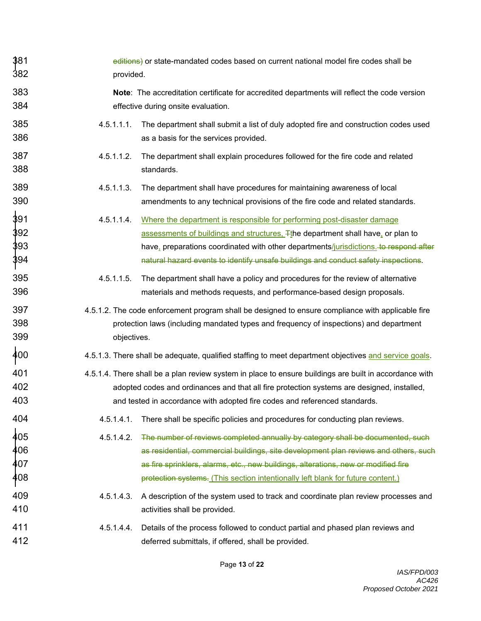| 381<br>382               | editions) or state-mandated codes based on current national model fire codes shall be<br>provided.    |                                                                                                                                                                                                                                                                                                                                                 |  |
|--------------------------|-------------------------------------------------------------------------------------------------------|-------------------------------------------------------------------------------------------------------------------------------------------------------------------------------------------------------------------------------------------------------------------------------------------------------------------------------------------------|--|
| 383<br>384               |                                                                                                       | Note: The accreditation certificate for accredited departments will reflect the code version<br>effective during onsite evaluation.                                                                                                                                                                                                             |  |
| 385<br>386               | 4.5.1.1.1.                                                                                            | The department shall submit a list of duly adopted fire and construction codes used<br>as a basis for the services provided.                                                                                                                                                                                                                    |  |
| 387<br>388               | 4.5.1.1.2.                                                                                            | The department shall explain procedures followed for the fire code and related<br>standards.                                                                                                                                                                                                                                                    |  |
| 389<br>390               | 4.5.1.1.3.                                                                                            | The department shall have procedures for maintaining awareness of local<br>amendments to any technical provisions of the fire code and related standards.                                                                                                                                                                                       |  |
| 391<br>392<br>393<br>394 | 4.5.1.1.4.                                                                                            | Where the department is responsible for performing post-disaster damage<br>assessments of buildings and structures, Tthe department shall have, or plan to<br>have, preparations coordinated with other departments/jurisdictions. to respond after<br>natural hazard events to identify unsafe buildings and conduct safety inspections.       |  |
| 395<br>396               | 4.5.1.1.5.                                                                                            | The department shall have a policy and procedures for the review of alternative<br>materials and methods requests, and performance-based design proposals.                                                                                                                                                                                      |  |
| 397<br>398<br>399        | objectives.                                                                                           | 4.5.1.2. The code enforcement program shall be designed to ensure compliance with applicable fire<br>protection laws (including mandated types and frequency of inspections) and department                                                                                                                                                     |  |
| 400                      | 4.5.1.3. There shall be adequate, qualified staffing to meet department objectives and service goals. |                                                                                                                                                                                                                                                                                                                                                 |  |
| 401<br>402<br>403        |                                                                                                       | 4.5.1.4. There shall be a plan review system in place to ensure buildings are built in accordance with<br>adopted codes and ordinances and that all fire protection systems are designed, installed,<br>and tested in accordance with adopted fire codes and referenced standards.                                                              |  |
| 404                      | 4.5.1.4.1.                                                                                            | There shall be specific policies and procedures for conducting plan reviews.                                                                                                                                                                                                                                                                    |  |
| 405<br>406<br>407<br>408 | 4.5.1.4.2.                                                                                            | The number of reviews completed annually by category shall be documented, such<br>as residential, commercial buildings, site development plan reviews and others, such<br>as fire sprinklers, alarms, etc., new buildings, alterations, new or modified fire<br>protection systems. (This section intentionally left blank for future content.) |  |
| 409<br>410               | 4.5.1.4.3.                                                                                            | A description of the system used to track and coordinate plan review processes and<br>activities shall be provided.                                                                                                                                                                                                                             |  |
| 411<br>412               | 4.5.1.4.4.                                                                                            | Details of the process followed to conduct partial and phased plan reviews and<br>deferred submittals, if offered, shall be provided.                                                                                                                                                                                                           |  |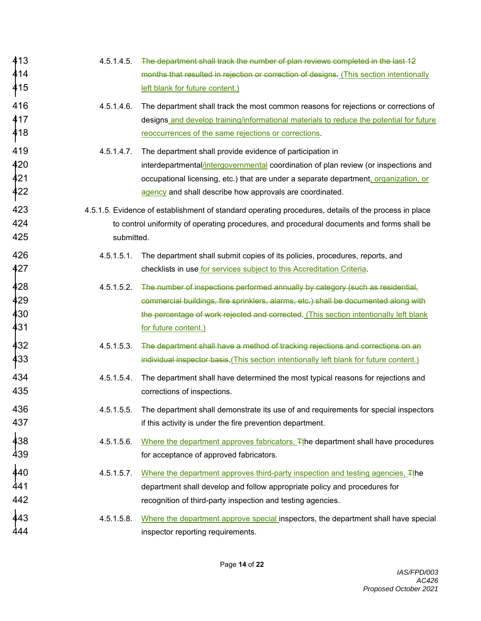| 413<br>414<br>415        | 4.5.1.4.5.    | The department shall track the number of plan reviews completed in the last 12<br>months that resulted in rejection or correction of designs. (This section intentionally<br>left blank for future content.)                                                                                         |
|--------------------------|---------------|------------------------------------------------------------------------------------------------------------------------------------------------------------------------------------------------------------------------------------------------------------------------------------------------------|
| 416<br>417<br>418        | $4.5.1.4.6$ . | The department shall track the most common reasons for rejections or corrections of<br>designs and develop training/informational materials to reduce the potential for future<br>reoccurrences of the same rejections or corrections.                                                               |
| 419<br>420<br>421<br>422 | 4.5.1.4.7.    | The department shall provide evidence of participation in<br>interdepartmental/intergovernmental coordination of plan review (or inspections and<br>occupational licensing, etc.) that are under a separate department, organization, or<br>agency and shall describe how approvals are coordinated. |
| 423<br>424<br>425        | submitted.    | 4.5.1.5. Evidence of establishment of standard operating procedures, details of the process in place<br>to control uniformity of operating procedures, and procedural documents and forms shall be                                                                                                   |
| 426<br>427               | 4.5.1.5.1.    | The department shall submit copies of its policies, procedures, reports, and<br>checklists in use for services subject to this Accreditation Criteria.                                                                                                                                               |
| 428<br>429<br>430<br>431 | 4.5.1.5.2.    | The number of inspections performed annually by category (such as residential,<br>commercial buildings, fire sprinklers, alarms, etc.) shall be documented along with<br>the percentage of work rejected and corrected. (This section intentionally left blank<br>for future content.)               |
| 432<br>433               | 4.5.1.5.3.    | The department shall have a method of tracking rejections and corrections on an<br>individual inspector basis. (This section intentionally left blank for future content.)                                                                                                                           |
| 434<br>435               | 4.5.1.5.4.    | The department shall have determined the most typical reasons for rejections and<br>corrections of inspections.                                                                                                                                                                                      |
| 436<br>437               | 4.5.1.5.5.    | The department shall demonstrate its use of and requirements for special inspectors<br>if this activity is under the fire prevention department.                                                                                                                                                     |
| 438<br>439               | 4.5.1.5.6.    | Where the department approves fabricators, The department shall have procedures<br>for acceptance of approved fabricators.                                                                                                                                                                           |
| 440<br>441<br>442        | 4.5.1.5.7.    | Where the department approves third-party inspection and testing agencies, The<br>department shall develop and follow appropriate policy and procedures for<br>recognition of third-party inspection and testing agencies.                                                                           |
| 443<br>444               | 4.5.1.5.8.    | Where the department approve special inspectors, the department shall have special<br>inspector reporting requirements.                                                                                                                                                                              |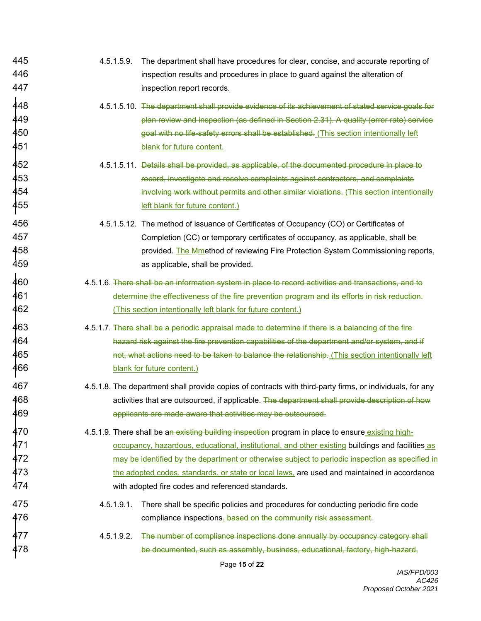445 4.5.1.5.9. The department shall have procedures for clear, concise, and accurate reporting of 446 inspection results and procedures in place to guard against the alteration of 447 **inspection report records.**  $\dot{4}48$   $4.5.1.5.10$ . The department shall provide evidence of its achievement of stated service goals for  $\frac{449}{\pi}$  plan review and inspection (as defined in Section 2.31). A quality (error rate) service  $\rm 450$  and the safety errors shall be established. (This section intentionally left section intentionally left safety errors shall be established. (This section intentionally left s 451 **blank** for future content.  $\dot{4}52$   $4.5.1.5.11$ . Details shall be provided, as applicable, of the documented procedure in place to 453 record, investigate and resolve complaints against contractors, and complaints  $\frac{1}{4}$ 54  $\,$  involving work without permits and other similar violations. (This section intentionally  $\,$ 455 **left blank for future content.**) 456 4.5.1.5.12. The method of issuance of Certificates of Occupancy (CO) or Certificates of 457 Completion (CC) or temporary certificates of occupancy, as applicable, shall be 458 **458** provided. The Mmethod of reviewing Fire Protection System Commissioning reports, 459 as applicable, shall be provided.  $\frac{1}{4}$ 60  $\hspace{1cm}$  4.5.1.6. There shall be an information system in place to record activities and transactions, and to  $\overline{{\bf 4}}$ 61 determine the effectiveness of the fire prevention program and its efforts in risk reduction. 462 **(This section intentionally left blank for future content.)**  $\dot{4}63$   $4.5.1.7$ . There shall be a periodic appraisal made to determine if there is a balancing of the fire 464 hazard risk against the fire prevention capabilities of the department and/or system, and if  $\dot{4}$ 65  $^{\circ}$  not, what actions need to be taken to balance the relationship. (This section intentionally left  $^{\circ}$ 466 **blank** for future content.) 467 4.5.1.8. The department shall provide copies of contracts with third-party firms, or individuals, for any 468 activities that are outsourced, if applicable. The department shall provide description of how 469 applicants are made aware that activities may be outsourced.  $470$  4.5.1.9. There shall be an existing building inspection program in place to ensure existing high- $\frac{471}{}$  frace of  $\frac{1}{2}$  occupancy, hazardous, educational, institutional, and other existing buildings and facilities as 472 **have a may be identified by the department or otherwise subject to periodic inspection as specified in**  $473$  the adopted codes, standards, or state or local laws, are used and maintained in accordance 474 with adopted fire codes and referenced standards. 475 4.5.1.9.1. There shall be specific policies and procedures for conducting periodic fire code 476 **476 compliance inspections**. **based on the community risk assessment**. 477 4.5.1.9.2. The number of compliance inspections done annually by occupancy category shall 478 be documented, such as assembly, business, educational, factory, high-hazard,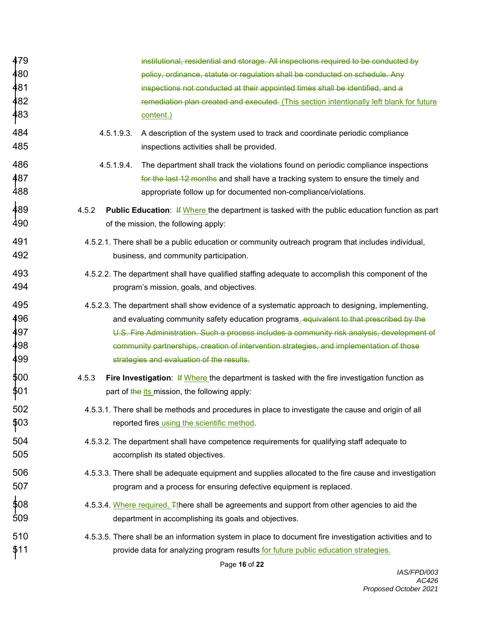| 479 |            | institutional, residential and storage. All inspections required to be conducted by                     |
|-----|------------|---------------------------------------------------------------------------------------------------------|
| 480 |            | policy, ordinance, statute or regulation shall be conducted on schedule. Any                            |
| 481 |            | inspections not conducted at their appointed times shall be identified, and a                           |
| 482 |            | remediation plan created and executed. (This section intentionally left blank for future                |
| 483 |            | content.)                                                                                               |
| 484 | 4.5.1.9.3. | A description of the system used to track and coordinate periodic compliance                            |
| 485 |            | inspections activities shall be provided.                                                               |
| 486 | 4.5.1.9.4. | The department shall track the violations found on periodic compliance inspections                      |
| 487 |            | for the last 12 months and shall have a tracking system to ensure the timely and                        |
| 488 |            | appropriate follow up for documented non-compliance/violations.                                         |
| 489 | 4.5.2      | <b>Public Education:</b> If Where the department is tasked with the public education function as part   |
| 490 |            | of the mission, the following apply:                                                                    |
| 491 |            | 4.5.2.1. There shall be a public education or community outreach program that includes individual,      |
| 492 |            | business, and community participation.                                                                  |
| 493 |            | 4.5.2.2. The department shall have qualified staffing adequate to accomplish this component of the      |
| 494 |            | program's mission, goals, and objectives.                                                               |
| 495 |            | 4.5.2.3. The department shall show evidence of a systematic approach to designing, implementing,        |
| 496 |            | and evaluating community safety education programs. equivalent to that prescribed by the                |
| 497 |            | U.S. Fire Administration. Such a process includes a community risk analysis, development of             |
| 498 |            | community partnerships, creation of intervention strategies, and implementation of those                |
| 499 |            | strategies and evaluation of the results.                                                               |
| 500 | 4.5.3      | <b>Fire Investigation: If Where the department is tasked with the fire investigation function as</b>    |
| 501 |            | part of the its mission, the following apply:                                                           |
| 502 |            | 4.5.3.1. There shall be methods and procedures in place to investigate the cause and origin of all      |
| 503 |            | reported fires using the scientific method.                                                             |
| 504 |            | 4.5.3.2. The department shall have competence requirements for qualifying staff adequate to             |
| 505 |            | accomplish its stated objectives.                                                                       |
| 506 |            | 4.5.3.3. There shall be adequate equipment and supplies allocated to the fire cause and investigation   |
| 507 |            | program and a process for ensuring defective equipment is replaced.                                     |
| 508 |            | 4.5.3.4. Where required, There shall be agreements and support from other agencies to aid the           |
| 509 |            | department in accomplishing its goals and objectives.                                                   |
| 510 |            | 4.5.3.5. There shall be an information system in place to document fire investigation activities and to |
| 511 |            | provide data for analyzing program results for future public education strategies.                      |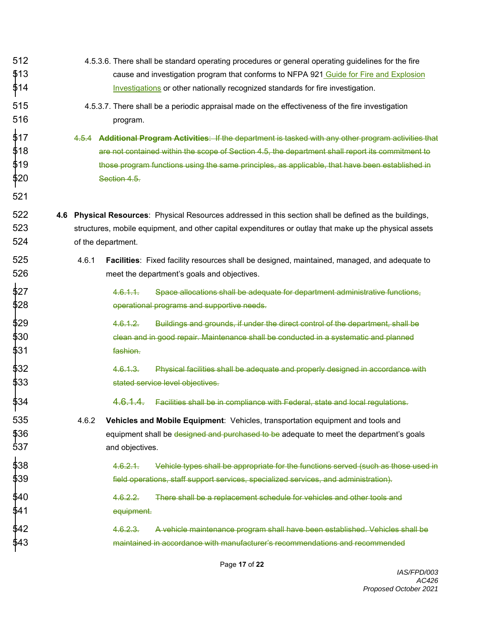512 4.5.3.6. There shall be standard operating procedures or general operating guidelines for the fire 513 cause and investigation program that conforms to NFPA 921 Guide for Fire and Explosion \$14 **Investigations or other nationally recognized standards for fire investigation.** 515 4.5.3.7. There shall be a periodic appraisal made on the effectiveness of the fire investigation 516 **program**. 517 4.5.4 **Additional Program Activities**: If the department is tasked with any other program activities that 518 are not contained within the scope of Section 4.5, the department shall report its commitment to  $\,$   $\sharp$ 19  $\,$  those program functions using the same principles, as applicable, that have been established in  $\,$ 520 Section 4.5. 521 522 **4.6 Physical Resources**: Physical Resources addressed in this section shall be defined as the buildings, 523 structures, mobile equipment, and other capital expenditures or outlay that make up the physical assets 524 of the department. 525 4.6.1 **Facilities**: Fixed facility resources shall be designed, maintained, managed, and adequate to 526 meet the department's goals and objectives. 527 4.6.1.1. Space allocations shall be adequate for department administrative functions, 528 operational programs and supportive needs. 529 4.6.1.2. Buildings and grounds, if under the direct control of the department, shall be 530 clean and in good repair. Maintenance shall be conducted in a systematic and planned 531 fashion. 532 4.6.1.3. Physical facilities shall be adequate and properly designed in accordance with 533 stated service level objectives. 534 4.6.1.4. Facilities shall be in compliance with Federal, state and local regulations. 535 4.6.2 **Vehicles and Mobile Equipment**: Vehicles, transportation equipment and tools and  $\$36$  equipment shall be <del>designed and purchased to be</del> adequate to meet the department's goals 537 and objectives. 538 4.6.2.1. Vehicle types shall be appropriate for the functions served (such as those used in 539 field operations, staff support services, specialized services, and administration). 540 4.6.2.2. There shall be a replacement schedule for vehicles and other tools and 541 equipment. 542 4.6.2.3. A vehicle maintenance program shall have been established. Vehicles shall be 543 maintained in accordance with manufacturer's recommendations and recommended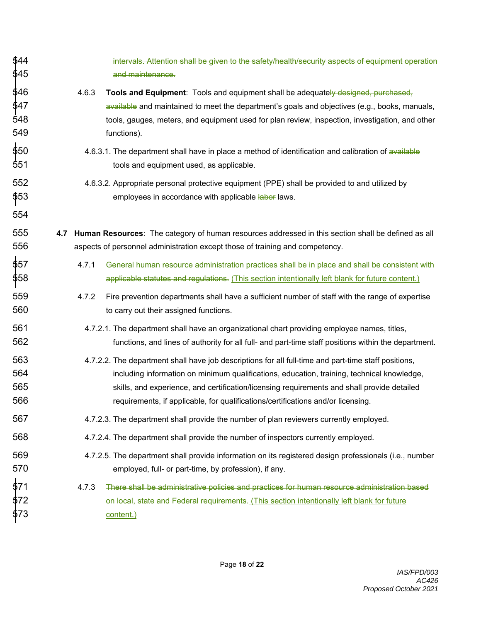| 544<br>545               | intervals. Attention shall be given to the safety/health/security aspects of equipment operation<br>and maintenance.                                                                                                                                                                                                                                                                  |
|--------------------------|---------------------------------------------------------------------------------------------------------------------------------------------------------------------------------------------------------------------------------------------------------------------------------------------------------------------------------------------------------------------------------------|
| 546<br>547<br>548<br>549 | 4.6.3<br><b>Tools and Equipment:</b> Tools and equipment shall be adequately designed, purchased,<br>available and maintained to meet the department's goals and objectives (e.g., books, manuals,<br>tools, gauges, meters, and equipment used for plan review, inspection, investigation, and other<br>functions).                                                                  |
| 550<br>551               | 4.6.3.1. The department shall have in place a method of identification and calibration of available<br>tools and equipment used, as applicable.                                                                                                                                                                                                                                       |
| 552<br>553<br>554        | 4.6.3.2. Appropriate personal protective equipment (PPE) shall be provided to and utilized by<br>employees in accordance with applicable labor laws.                                                                                                                                                                                                                                  |
| 555<br>556               | 4.7 Human Resources: The category of human resources addressed in this section shall be defined as all<br>aspects of personnel administration except those of training and competency.                                                                                                                                                                                                |
| 557<br>558               | General human resource administration practices shall be in place and shall be consistent with<br>4.7.1<br>applicable statutes and regulations. (This section intentionally left blank for future content.)                                                                                                                                                                           |
| 559<br>560               | 4.7.2<br>Fire prevention departments shall have a sufficient number of staff with the range of expertise<br>to carry out their assigned functions.                                                                                                                                                                                                                                    |
| 561<br>562               | 4.7.2.1. The department shall have an organizational chart providing employee names, titles,<br>functions, and lines of authority for all full- and part-time staff positions within the department.                                                                                                                                                                                  |
| 563<br>564<br>565<br>566 | 4.7.2.2. The department shall have job descriptions for all full-time and part-time staff positions,<br>including information on minimum qualifications, education, training, technical knowledge,<br>skills, and experience, and certification/licensing requirements and shall provide detailed<br>requirements, if applicable, for qualifications/certifications and/or licensing. |
| 567                      | 4.7.2.3. The department shall provide the number of plan reviewers currently employed.                                                                                                                                                                                                                                                                                                |
| 568                      | 4.7.2.4. The department shall provide the number of inspectors currently employed.                                                                                                                                                                                                                                                                                                    |
| 569<br>570               | 4.7.2.5. The department shall provide information on its registered design professionals (i.e., number<br>employed, full- or part-time, by profession), if any.                                                                                                                                                                                                                       |
| 571<br>572<br>573        | 4.7.3<br>There shall be administrative policies and practices for human resource administration based<br>on local, state and Federal requirements. (This section intentionally left blank for future<br>content.)                                                                                                                                                                     |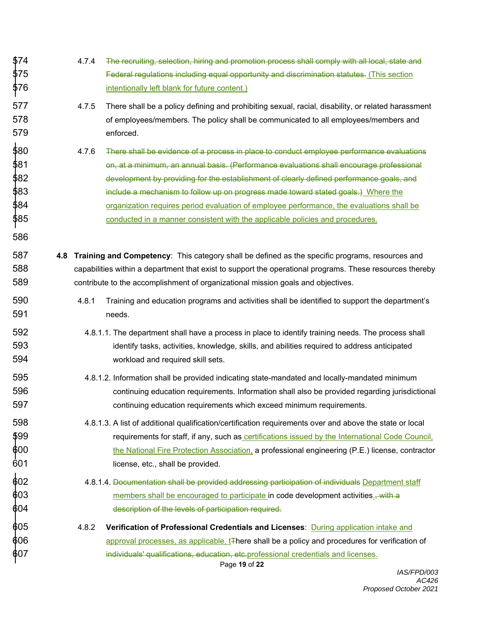| 574<br>575<br>576<br>    | 4.7.4<br>The recruiting, selection, hiring and promotion process shall comply with all local, state and<br>Federal regulations including equal opportunity and discrimination statutes. (This section<br>intentionally left blank for future content.)                                                             |
|--------------------------|--------------------------------------------------------------------------------------------------------------------------------------------------------------------------------------------------------------------------------------------------------------------------------------------------------------------|
| 577<br>578<br>579        | 4.7.5<br>There shall be a policy defining and prohibiting sexual, racial, disability, or related harassment<br>of employees/members. The policy shall be communicated to all employees/members and<br>enforced.                                                                                                    |
| 580                      | 4.7.6                                                                                                                                                                                                                                                                                                              |
| 581                      | There shall be evidence of a process in place to conduct employee performance evaluations                                                                                                                                                                                                                          |
| 582                      | on, at a minimum, an annual basis. (Performance evaluations shall encourage professional                                                                                                                                                                                                                           |
| 583                      | development by providing for the establishment of clearly defined performance goals, and                                                                                                                                                                                                                           |
| 584                      | include a mechanism to follow up on progress made toward stated goals.) Where the                                                                                                                                                                                                                                  |
| 585                      | organization requires period evaluation of employee performance, the evaluations shall be                                                                                                                                                                                                                          |
| 586                      | conducted in a manner consistent with the applicable policies and procedures.                                                                                                                                                                                                                                      |
| 587<br>4.8<br>588<br>589 | Training and Competency: This category shall be defined as the specific programs, resources and<br>capabilities within a department that exist to support the operational programs. These resources thereby<br>contribute to the accomplishment of organizational mission goals and objectives.                    |
| 590<br>591               | 4.8.1<br>Training and education programs and activities shall be identified to support the department's<br>needs.                                                                                                                                                                                                  |
| 592                      | 4.8.1.1. The department shall have a process in place to identify training needs. The process shall                                                                                                                                                                                                                |
| 593                      | identify tasks, activities, knowledge, skills, and abilities required to address anticipated                                                                                                                                                                                                                       |
| 594                      | workload and required skill sets.                                                                                                                                                                                                                                                                                  |
| 595                      | 4.8.1.2. Information shall be provided indicating state-mandated and locally-mandated minimum                                                                                                                                                                                                                      |
| 596                      | continuing education requirements. Information shall also be provided regarding jurisdictional                                                                                                                                                                                                                     |
| 597                      | continuing education requirements which exceed minimum requirements.                                                                                                                                                                                                                                               |
| 598                      | 4.8.1.3. A list of additional qualification/certification requirements over and above the state or local                                                                                                                                                                                                           |
| 599                      | requirements for staff, if any, such as certifications issued by the International Code Council,                                                                                                                                                                                                                   |
| 600                      | the National Fire Protection Association, a professional engineering (P.E.) license, contractor                                                                                                                                                                                                                    |
| 601                      | license, etc., shall be provided.                                                                                                                                                                                                                                                                                  |
| 602                      | 4.8.1.4. Documentation shall be provided addressing participation of individuals Department staff                                                                                                                                                                                                                  |
| 603                      | members shall be encouraged to participate in code development activities. with a                                                                                                                                                                                                                                  |
| 604                      | description of the levels of participation required.                                                                                                                                                                                                                                                               |
| 605<br>606<br>607        | 4.8.2<br>Verification of Professional Credentials and Licenses: During application intake and<br>approval processes, as applicable, t <sub>There</sub> shall be a policy and procedures for verification of<br>individuals' qualifications, education, etc.professional credentials and licenses.<br>Page 19 of 22 |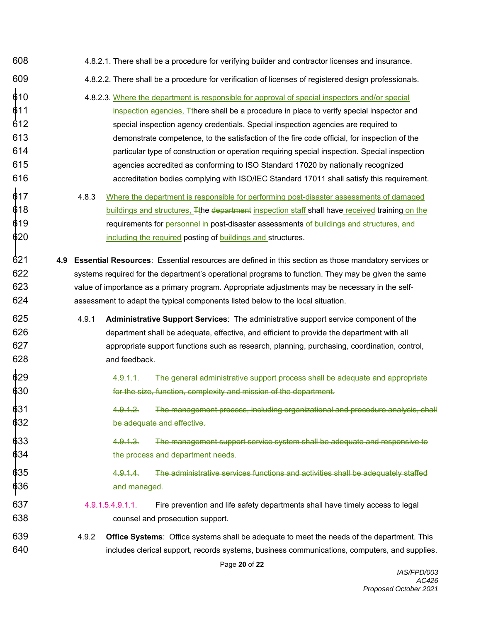- 608 4.8.2.1. There shall be a procedure for verifying builder and contractor licenses and insurance.
- 609 4.8.2.2. There shall be a procedure for verification of licenses of registered design professionals.
- 610 4.8.2.3. Where the department is responsible for approval of special inspectors and/or special  $$11$  inspection agencies,  $\mp$ there shall be a procedure in place to verify special inspector and 612 special inspection agency credentials. Special inspection agencies are required to 613 demonstrate competence, to the satisfaction of the fire code official, for inspection of the 614 particular type of construction or operation requiring special inspection. Special inspection 615 agencies accredited as conforming to ISO Standard 17020 by nationally recognized 616 accreditation bodies complying with ISO/IEC Standard 17011 shall satisfy this requirement.
- $\stackrel{\bullet}{\textbf{6}}$ 17  $\quad$  4.8.3 Where the department is responsible for performing post-disaster assessments of damaged  $\textcolor{black}{\bullet}$ 18  $\textcolor{black}{\bullet}$  buildings and structures,  $\textcolor{black}{\mp}$ the <del>department</del> inspection staff shall have received training on the  $\textcolor{black}{\bullet}$ 19  $^{\bullet}$  requirements for personnel in post-disaster assessments of buildings and structures, and  $$20$  including the required posting of buildings and structures.
- 621 **4.9 Essential Resources**: Essential resources are defined in this section as those mandatory services or 622 systems required for the department's operational programs to function. They may be given the same 623 value of importance as a primary program. Appropriate adjustments may be necessary in the self-624 assessment to adapt the typical components listed below to the local situation.
- 625 4.9.1 **Administrative Support Services**: The administrative support service component of the 626 department shall be adequate, effective, and efficient to provide the department with all 627 appropriate support functions such as research, planning, purchasing, coordination, control, 628 and feedback.
- $\stackrel{\bullet}{\text{4.9}}$   $\stackrel{\bullet}{\text{4.9}}$  4.9.1.1. The general administrative support process shall be adequate and appropriate  $\textcolor{red}{\bullet}$ 30  $\textcolor{red}{\bullet}$  for the size, function, complexity and mission of the department.
- 631 4.9.1.2. The management process, including organizational and procedure analysis, shall  $\frac{1}{6}$ 32 be adequate and effective.
- 633 4.9.1.3. The management support service system shall be adequate and responsive to  $$34$
- 635 4.9.1.4. The administrative services functions and activities shall be adequately staffed  $$36$  and managed.
- 637 4.9.1.5.4.9.1.1. Fire prevention and life safety departments shall have timely access to legal 638 counsel and prosecution support.
- 639 4.9.2 **Office Systems**: Office systems shall be adequate to meet the needs of the department. This 640 includes clerical support, records systems, business communications, computers, and supplies.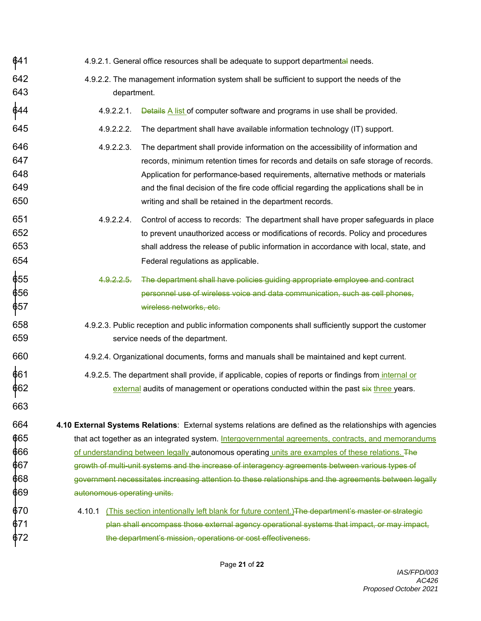$641$  4.9.2.1. General office resources shall be adequate to support departmental needs. 642 4.9.2.2. The management information system shall be sufficient to support the needs of the 643 department.  $\stackrel{\dagger}{\Phi}$ 44  $\quad$  4.9.2.2.1. Details <u>A list</u> of computer software and programs in use shall be provided. 645 4.9.2.2.2. The department shall have available information technology (IT) support. 646 4.9.2.2.3. The department shall provide information on the accessibility of information and 647 records, minimum retention times for records and details on safe storage of records. 648 Application for performance-based requirements, alternative methods or materials 649 and the final decision of the fire code official regarding the applications shall be in 650 writing and shall be retained in the department records. 651 4.9.2.2.4. Control of access to records: The department shall have proper safeguards in place 652 to prevent unauthorized access or modifications of records. Policy and procedures 653 shall address the release of public information in accordance with local, state, and 654 Federal regulations as applicable. 655 4.9.2.2.5. The department shall have policies guiding appropriate employee and contract  $\textcolor{black}{\phi}$ 56  $\textcolor{black}{\phi}$  personnel use of wireless voice and data communication, such as cell phones, 657 wireless networks, etc. 658 4.9.2.3. Public reception and public information components shall sufficiently support the customer 659 service needs of the department. 660 4.9.2.4. Organizational documents, forms and manuals shall be maintained and kept current. 661 4.9.2.5. The department shall provide, if applicable, copies of reports or findings from internal or  $\rm 662$  external audits of management or operations conducted within the past  $\rm s$ ix three years. 663 664 **4.10 External Systems Relations**: External systems relations are defined as the relationships with agencies  $665$  that act together as an integrated system. Intergovernmental agreements, contracts, and memorandums  $666$  of understanding between legally autonomous operatin<u>g units are examples of these relations.</u> The 667 growth of multi-unit systems and the increase of interagency agreements between various types of  $\$68$  government necessitates increasing attention to these relationships and the agreements between legally 669 autonomous operating units.  $$70$  4.10.1 (This section intentionally left blank for future content.)<del>The department's master or strategic</del> 671 plan shall encompass those external agency operational systems that impact, or may impact,  $$72$  the department's mission, operations or cost effectiveness.